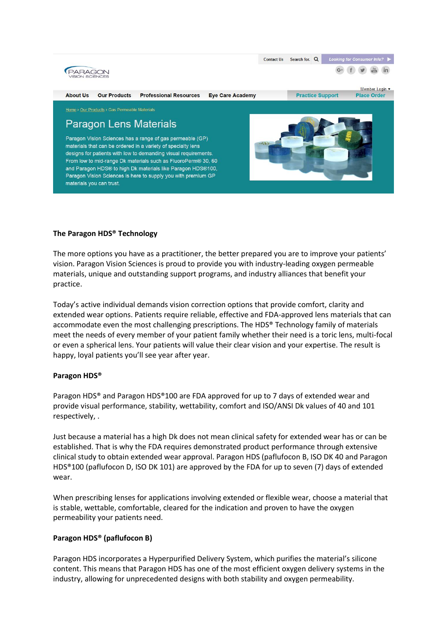

## **The Paragon HDS® Technology**

The more options you have as a practitioner, the better prepared you are to improve your patients' vision. Paragon Vision Sciences is proud to provide you with industry-leading oxygen permeable materials, unique and outstanding support programs, and industry alliances that benefit your practice.

Today's active individual demands vision correction options that provide comfort, clarity and extended wear options. Patients require reliable, effective and FDA-approved lens materials that can accommodate even the most challenging prescriptions. The HDS® Technology family of materials meet the needs of every member of your patient family whether their need is a toric lens, multi-focal or even a spherical lens. Your patients will value their clear vision and your expertise. The result is happy, loyal patients you'll see year after year.

## **Paragon HDS®**

Paragon HDS® and Paragon HDS®100 are FDA approved for up to 7 days of extended wear and provide visual performance, stability, wettability, comfort and ISO/ANSI Dk values of 40 and 101 respectively, .

Just because a material has a high Dk does not mean clinical safety for extended wear has or can be established. That is why the FDA requires demonstrated product performance through extensive clinical study to obtain extended wear approval. Paragon HDS (paflufocon B, ISO DK 40 and Paragon HDS®100 (paflufocon D, ISO DK 101) are approved by the FDA for up to seven (7) days of extended wear.

When prescribing lenses for applications involving extended or flexible wear, choose a material that is stable, wettable, comfortable, cleared for the indication and proven to have the oxygen permeability your patients need.

## **Paragon HDS® (paflufocon B)**

Paragon HDS incorporates a Hyperpurified Delivery System, which purifies the material's silicone content. This means that Paragon HDS has one of the most efficient oxygen delivery systems in the industry, allowing for unprecedented designs with both stability and oxygen permeability.